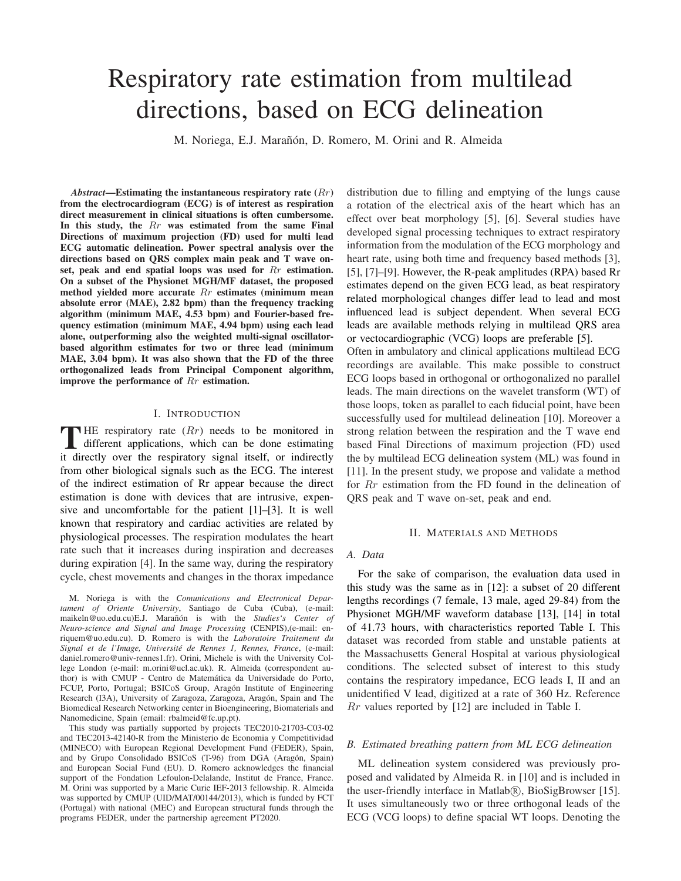# Respiratory rate estimation from multilead directions, based on ECG delineation

M. Noriega, E.J. Marañón, D. Romero, M. Orini and R. Almeida

*Abstract*—Estimating the instantaneous respiratory rate  $(Rr)$ from the electrocardiogram (ECG) is of interest as respiration direct measurement in clinical situations is often cumbersome. In this study, the  $Rr$  was estimated from the same Final Directions of maximum projection (FD) used for multi lead ECG automatic delineation. Power spectral analysis over the directions based on ORS complex main peak and T wave onset, peak and end spatial loops was used for  $Rr$  estimation. On a subset of the Physionet MGH/MF dataset, the proposed method yielded more accurate Rr estimates (minimum mean absolute error (MAE), 2.82 bpm) than the frequency tracking algorithm (minimum MAE, 4.53 bpm) and Fourier-based frequency estimation (minimum MAE, 4.94 bpm) using each lead alone, outperforming also the weighted multi-signal oscillatorbased algorithm estimates for two or three lead (minimum MAE, 3.04 bpm). It was also shown that the FD of the three orthogonalized leads from Principal Component algorithm, improve the performance of  $Rr$  estimation.

## **I. INTRODUCTION**

THE respiratory rate  $(Rr)$  needs to be monitored in different applications, which can be done estimating it directly over the respiratory signal itself, or indirectly from other biological signals such as the ECG. The interest of the indirect estimation of Rr appear because the direct estimation is done with devices that are intrusive, expensive and uncomfortable for the patient  $[1]-[3]$ . It is well known that respiratory and cardiac activities are related by physiological processes. The respiration modulates the heart rate such that it increases during inspiration and decreases during expiration [4]. In the same way, during the respiratory cycle, chest movements and changes in the thorax impedance

M. Noriega is with the Comunications and Electronical Departament of Oriente University, Santiago de Cuba (Cuba), (e-mail: maikeln@uo.edu.cu)E.J. Marañón is with the Studies's Center of Neuro-science and Signal and Image Processing (CENPIS), (e-mail: enriquem@uo.edu.cu). D. Romero is with the Laboratoire Traitement du Signal et de l'Image, Université de Rennes 1, Rennes, France, (e-mail: daniel.romero@univ-rennes1.fr). Orini, Michele is with the University College London (e-mail: m.orini@ucl.ac.uk). R. Almeida (correspondent author) is with CMUP - Centro de Matemática da Universidade do Porto, FCUP, Porto, Portugal; BSICoS Group, Aragón Institute of Engineering Research (I3A), University of Zaragoza, Zaragoza, Aragón, Spain and The Biomedical Research Networking center in Bioengineering, Biomaterials and Nanomedicine, Spain (email: rbalmeid@fc.up.pt).

This study was partially supported by projects TEC2010-21703-C03-02 and TEC2013-42140-R from the Ministerio de Economia y Competitividad (MINECO) with European Regional Development Fund (FEDER), Spain, and by Grupo Consolidado BSICoS (T-96) from DGA (Aragón, Spain) and European Social Fund (EU). D. Romero acknowledges the financial support of the Fondation Lefoulon-Delalande, Institut de France, France. M. Orini was supported by a Marie Curie IEF-2013 fellowship. R. Almeida was supported by CMUP (UID/MAT/00144/2013), which is funded by FCT (Portugal) with national (MEC) and European structural funds through the programs FEDER, under the partnership agreement PT2020.

distribution due to filling and emptying of the lungs cause a rotation of the electrical axis of the heart which has an effect over beat morphology [5], [6]. Several studies have developed signal processing techniques to extract respiratory information from the modulation of the ECG morphology and heart rate, using both time and frequency based methods [3], [5], [7]-[9]. However, the R-peak amplitudes (RPA) based Rr estimates depend on the given ECG lead, as beat respiratory related morphological changes differ lead to lead and most influenced lead is subject dependent. When several ECG leads are available methods relying in multilead QRS area or vectocardiographic (VCG) loops are preferable [5]. Often in ambulatory and clinical applications multilead ECG recordings are available. This make possible to construct ECG loops based in orthogonal or orthogonalized no parallel

leads. The main directions on the wavelet transform (WT) of those loops, token as parallel to each fiducial point, have been successfully used for multilead delineation [10]. Moreover a strong relation between the respiration and the T wave end based Final Directions of maximum projection (FD) used the by multilead ECG delineation system (ML) was found in [11]. In the present study, we propose and validate a method for  $Rr$  estimation from the FD found in the delineation of QRS peak and T wave on-set, peak and end.

# **II. MATERIALS AND METHODS**

## A. Data

For the sake of comparison, the evaluation data used in this study was the same as in [12]: a subset of 20 different lengths recordings (7 female, 13 male, aged 29-84) from the Physionet MGH/MF waveform database [13], [14] in total of 41.73 hours, with characteristics reported Table I. This dataset was recorded from stable and unstable patients at the Massachusetts General Hospital at various physiological conditions. The selected subset of interest to this study contains the respiratory impedance, ECG leads I, II and an unidentified V lead, digitized at a rate of 360 Hz. Reference  $Rr$  values reported by [12] are included in Table I.

# B. Estimated breathing pattern from ML ECG delineation

ML delineation system considered was previously proposed and validated by Almeida R. in [10] and is included in the user-friendly interface in Matlab(R), BioSigBrowser [15]. It uses simultaneously two or three orthogonal leads of the ECG (VCG loops) to define spacial WT loops. Denoting the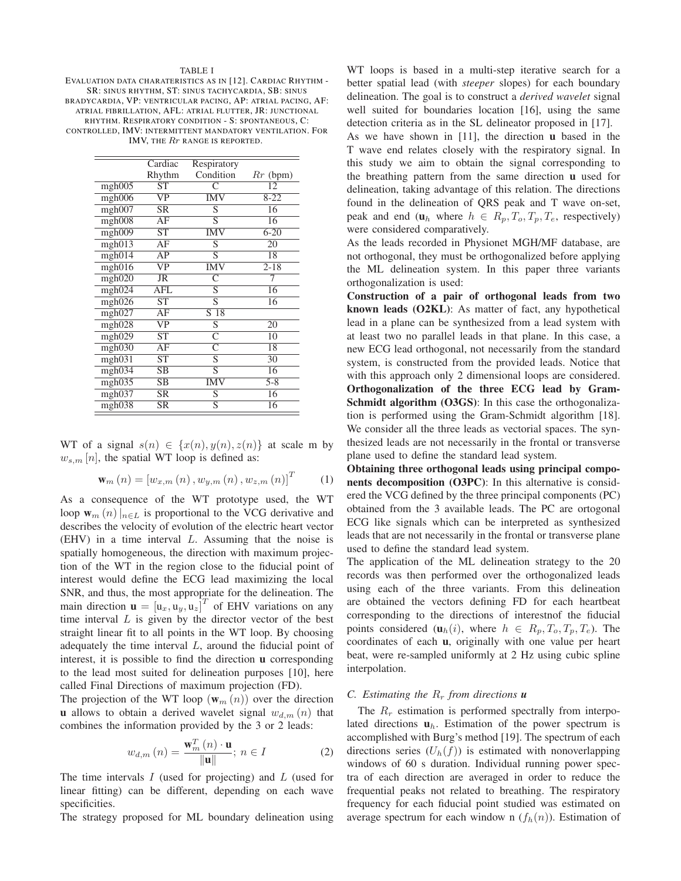#### **TABLE I**

EVALUATION DATA CHARATERISTICS AS IN [12]. CARDIAC RHYTHM -SR: SINUS RHYTHM, ST: SINUS TACHYCARDIA, SB: SINUS BRADYCARDIA, VP: VENTRICULAR PACING, AP: ATRIAL PACING, AF: ATRIAL FIBRILLATION, AFL: ATRIAL FLUTTER, JR: JUNCTIONAL RHYTHM. RESPIRATORY CONDITION - S: SPONTANEOUS, C: CONTROLLED, IMV: INTERMITTENT MANDATORY VENTILATION. FOR IMV, THE Rr RANGE IS REPORTED.

|        | Cardiac                     | Respiratory     |                  |
|--------|-----------------------------|-----------------|------------------|
|        | Rhythm                      | Condition       | $Rr$ (bpm)       |
| mgh005 | ST                          | $\subset$<br>12 |                  |
| mgh006 | $\overline{\text{VP}}$      | <b>IMV</b>      | $8 - 22$         |
| mgh007 | SR                          | S               | 16               |
| mgh008 | AF                          | S               | 16               |
| mgh009 | $\overline{\text{ST}}$      | <b>IMV</b>      | $6 - 20$         |
| mgh013 | AF                          | S               | 20               |
| mgh014 | AP                          | S               | 18               |
| mgh016 | VP                          | <b>IMV</b>      | $2 - 18$         |
| mgh020 | JR                          | C               | 7                |
| mgh024 | $\mathop{\rm AFL}\nolimits$ | S               | 16               |
| mgh026 | ST                          | S               | 16               |
| mgh027 | AF                          | S 18            |                  |
| mgh028 | $\overline{\text{VP}}$      | $\overline{S}$  | 20               |
| mgh029 | ST                          | C               | 10               |
| mgh030 | AF                          | Ċ               | 18               |
| mgh031 | $\overline{\text{ST}}$      | $\overline{S}$  | 30               |
| mgh034 | SВ                          | $\overline{S}$  | 16               |
| mgh035 | $\overline{\text{SB}}$      | <b>IMV</b>      | $\overline{5-8}$ |
| mgh037 | <b>SR</b>                   | S               | 16               |
| mgh038 | SR                          | S               | 16               |

WT of a signal  $s(n) \in \{x(n), y(n), z(n)\}\$ at scale m by  $w_{s,m}[n]$ , the spatial WT loop is defined as:

$$
\mathbf{w}_{m}(n) = [w_{x,m}(n), w_{y,m}(n), w_{z,m}(n)]^{T}
$$
 (1)

As a consequence of the WT prototype used, the WT loop  $\mathbf{w}_m(n)|_{n \in L}$  is proportional to the VCG derivative and describes the velocity of evolution of the electric heart vector  $(EHV)$  in a time interval L. Assuming that the noise is spatially homogeneous, the direction with maximum projection of the WT in the region close to the fiducial point of interest would define the ECG lead maximizing the local SNR, and thus, the most appropriate for the delineation. The main direction  $\mathbf{u} = [u_x, u_y, u_z]^T$  of EHV variations on any time interval  $L$  is given by the director vector of the best straight linear fit to all points in the WT loop. By choosing adequately the time interval  $L$ , around the fiducial point of interest, it is possible to find the direction **u** corresponding to the lead most suited for delineation purposes [10], here called Final Directions of maximum projection (FD).

The projection of the WT loop  $(\mathbf{w}_m(n))$  over the direction **u** allows to obtain a derived wavelet signal  $w_{d,m}(n)$  that combines the information provided by the 3 or 2 leads:

$$
w_{d,m}\left(n\right) = \frac{\mathbf{w}_m^T\left(n\right) \cdot \mathbf{u}}{\|\mathbf{u}\|}; \ n \in I \tag{2}
$$

The time intervals  $I$  (used for projecting) and  $L$  (used for linear fitting) can be different, depending on each wave specificities.

The strategy proposed for ML boundary delineation using

WT loops is based in a multi-step iterative search for a better spatial lead (with *steeper* slopes) for each boundary delineation. The goal is to construct a *derived wavelet* signal well suited for boundaries location [16], using the same detection criteria as in the SL delineator proposed in [17].

As we have shown in [11], the direction **u** based in the T wave end relates closely with the respiratory signal. In this study we aim to obtain the signal corresponding to the breathing pattern from the same direction **u** used for delineation, taking advantage of this relation. The directions found in the delineation of QRS peak and T wave on-set, peak and end  $(\mathbf{u}_h$  where  $h \in R_p, T_o, T_p, T_e$ , respectively) were considered comparatively.

As the leads recorded in Physionet MGH/MF database, are not orthogonal, they must be orthogonalized before applying the ML delineation system. In this paper three variants orthogonalization is used:

Construction of a pair of orthogonal leads from two known leads (O2KL): As matter of fact, any hypothetical lead in a plane can be synthesized from a lead system with at least two no parallel leads in that plane. In this case, a new ECG lead orthogonal, not necessarily from the standard system, is constructed from the provided leads. Notice that with this approach only 2 dimensional loops are considered. Orthogonalization of the three ECG lead by Gram-**Schmidt algorithm (O3GS):** In this case the orthogonalization is performed using the Gram-Schmidt algorithm [18]. We consider all the three leads as vectorial spaces. The synthe sized leads are not necessarily in the frontal or transverse plane used to define the standard lead system.

Obtaining three orthogonal leads using principal components decomposition (O3PC): In this alternative is considered the VCG defined by the three principal components (PC) obtained from the 3 available leads. The PC are ortogonal ECG like signals which can be interpreted as synthesized leads that are not necessarily in the frontal or transverse plane used to define the standard lead system.

The application of the ML delineation strategy to the 20 records was then performed over the orthogonalized leads using each of the three variants. From this delineation are obtained the vectors defining FD for each heartbeat corresponding to the directions of interestnof the fiducial points considered  $(\mathbf{u}_h(i))$ , where  $h \in R_p, T_o, T_p, T_e$ ). The coordinates of each **u**, originally with one value per heart beat, were re-sampled uniformly at 2 Hz using cubic spline interpolation.

# C. Estimating the  $R_r$  from directions **u**

The  $R_r$  estimation is performed spectrally from interpolated directions  $\mathbf{u}_h$ . Estimation of the power spectrum is accomplished with Burg's method [19]. The spectrum of each directions series  $(U_h(f))$  is estimated with nonoverlapping windows of 60 s duration. Individual running power spectra of each direction are averaged in order to reduce the frequential peaks not related to breathing. The respiratory frequency for each fiducial point studied was estimated on average spectrum for each window n  $(f_h(n))$ . Estimation of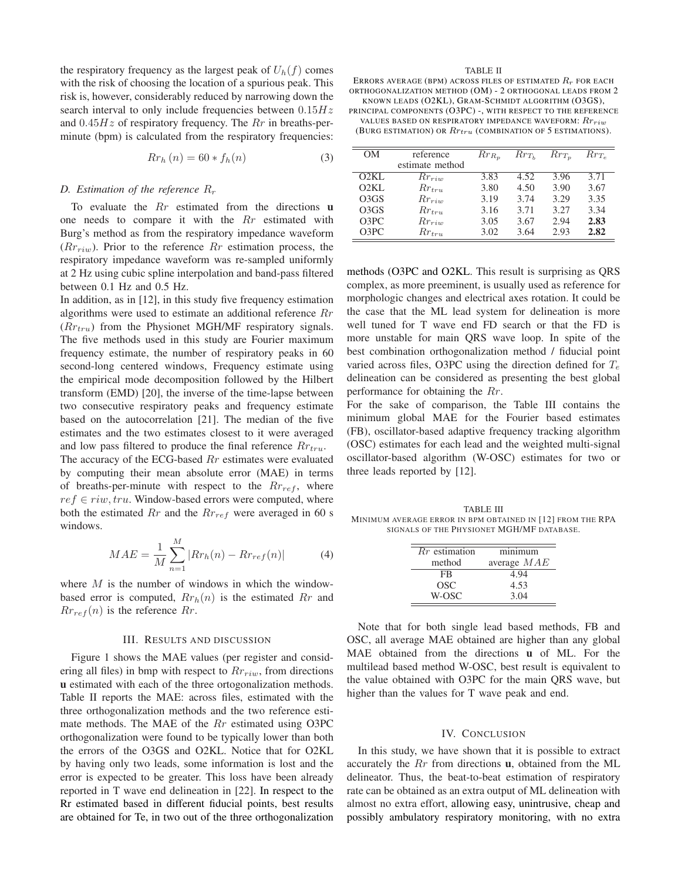the respiratory frequency as the largest peak of  $U_h(f)$  comes with the risk of choosing the location of a spurious peak. This risk is, however, considerably reduced by narrowing down the search interval to only include frequencies between  $0.15Hz$ and  $0.45Hz$  of respiratory frequency. The Rr in breaths-perminute (bpm) is calculated from the respiratory frequencies:

$$
Rr_h(n) = 60 \cdot f_h(n) \tag{3}
$$

## D. Estimation of the reference  $R_r$

To evaluate the  $Rr$  estimated from the directions  $\bf{u}$ one needs to compare it with the Rr estimated with Burg's method as from the respiratory impedance waveform  $(Rr_{riw})$ . Prior to the reference  $Rr$  estimation process, the respiratory impedance waveform was re-sampled uniformly at 2 Hz using cubic spline interpolation and band-pass filtered between 0.1 Hz and 0.5 Hz.

In addition, as in  $[12]$ , in this study five frequency estimation algorithms were used to estimate an additional reference  $Rr$  $(Rr_{tru})$  from the Physionet MGH/MF respiratory signals. The five methods used in this study are Fourier maximum frequency estimate, the number of respiratory peaks in 60 second-long centered windows, Frequency estimate using the empirical mode decomposition followed by the Hilbert transform (EMD) [20], the inverse of the time-lapse between two consecutive respiratory peaks and frequency estimate based on the autocorrelation [21]. The median of the five estimates and the two estimates closest to it were averaged and low pass filtered to produce the final reference  $Rr_{tru}$ .

The accuracy of the ECG-based  $Rr$  estimates were evaluated by computing their mean absolute error (MAE) in terms of breaths-per-minute with respect to the  $Rr_{ref}$ , where  $ref \in ri w, tr u$ . Window-based errors were computed, where both the estimated  $Rr$  and the  $Rr_{ref}$  were averaged in 60 s windows.

$$
MAE = \frac{1}{M} \sum_{n=1}^{M} |Rr_h(n) - Rr_{ref}(n)|
$$
 (4)

where  $M$  is the number of windows in which the windowbased error is computed,  $Rr<sub>h</sub>(n)$  is the estimated  $Rr$  and  $Rr_{ref}(n)$  is the reference  $Rr$ .

#### **III. RESULTS AND DISCUSSION**

Figure 1 shows the MAE values (per register and considering all files) in bmp with respect to  $Rr_{riw}$ , from directions u estimated with each of the three ortogonalization methods. Table II reports the MAE: across files, estimated with the three orthogonalization methods and the two reference estimate methods. The MAE of the  $Rr$  estimated using O3PC orthogonalization were found to be typically lower than both the errors of the O3GS and O2KL. Notice that for O2KL by having only two leads, some information is lost and the error is expected to be greater. This loss have been already reported in T wave end delineation in [22]. In respect to the Rr estimated based in different fiducial points, best results are obtained for Te, in two out of the three orthogonalization

#### **TABLE II**

ERRORS AVERAGE (BPM) ACROSS FILES OF ESTIMATED  $R_r$  for each ORTHOGONALIZATION METHOD (OM) - 2 ORTHOGONAL LEADS FROM 2 KNOWN LEADS (O2KL), GRAM-SCHMIDT ALGORITHM (O3GS),

PRINCIPAL COMPONENTS (O3PC) -, WITH RESPECT TO THE REFERENCE VALUES BASED ON RESPIRATORY IMPEDANCE WAVEFORM:  $Rr_{riw}$ 

(BURG ESTIMATION) OR  $Rr_{tru}$  (COMBINATION OF 5 ESTIMATIONS).

| OΜ                | reference       | $Rr_{R_n}$ | $Rr_{T_h}$ | $Rr_{T_n}$ | $Rr_{T_e}$ |
|-------------------|-----------------|------------|------------|------------|------------|
|                   | estimate method |            |            |            |            |
| O2KL              | $Rr_{riw}$      | 3.83       | 4.52       | 3.96       | 3.71       |
| O2KL              | $Rr_{trn}$      | 3.80       | 4.50       | 3.90       | 3.67       |
| O <sub>3</sub> GS | $Rr_{riw}$      | 3.19       | 3.74       | 3.29       | 3.35       |
| O <sub>3</sub> GS | $Rr_{tru}$      | 3.16       | 3.71       | 3.27       | 3.34       |
| O <sub>3</sub> PC | $Rr_{riw}$      | 3.05       | 3.67       | 2.94       | 2.83       |
| O <sub>3</sub> PC | $Rr_{trn}$      | 3.02       | 3.64       | 2.93       | 2.82       |

methods (O3PC and O2KL. This result is surprising as QRS complex, as more preeminent, is usually used as reference for morphologic changes and electrical axes rotation. It could be the case that the ML lead system for delineation is more well tuned for T wave end FD search or that the FD is more unstable for main QRS wave loop. In spite of the best combination orthogonalization method / fiducial point varied across files, O3PC using the direction defined for  $T_e$ delineation can be considered as presenting the best global performance for obtaining the  $Rr$ .

For the sake of comparison, the Table III contains the minimum global MAE for the Fourier based estimates (FB), oscillator-based adaptive frequency tracking algorithm (OSC) estimates for each lead and the weighted multi-signal oscillator-based algorithm (W-OSC) estimates for two or three leads reported by [12].

**TABLE III** MINIMUM AVERAGE ERROR IN BPM OBTAINED IN [12] FROM THE RPA SIGNALS OF THE PHYSIONET MGH/MF DATABASE.

| $Rr$ estimation | minimum       |  |  |
|-----------------|---------------|--|--|
| method          | average $MAE$ |  |  |
| FR              | 4.94          |  |  |
| OSC             | 4.53          |  |  |
| W-OSC           | 3.04          |  |  |
|                 |               |  |  |

Note that for both single lead based methods, FB and OSC, all average MAE obtained are higher than any global MAE obtained from the directions u of ML. For the multilead based method W-OSC, best result is equivalent to the value obtained with O3PC for the main QRS wave, but higher than the values for T wave peak and end.

# IV. CONCLUSION

In this study, we have shown that it is possible to extract accurately the  $Rr$  from directions  $\bf{u}$ , obtained from the ML delineator. Thus, the beat-to-beat estimation of respiratory rate can be obtained as an extra output of ML delineation with almost no extra effort, allowing easy, unintrusive, cheap and possibly ambulatory respiratory monitoring, with no extra